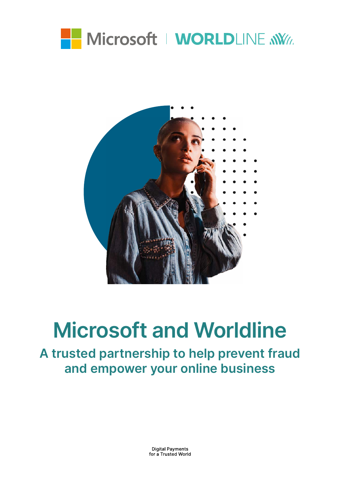



# **Microsoft and Worldline**

**A trusted partnership to help prevent fraud and empower your online business**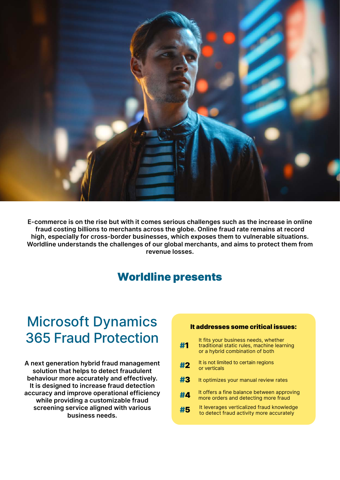

**E-commerce is on the rise but with it comes serious challenges such as the increase in online fraud costing billions to merchants across the globe. Online fraud rate remains at record high, especially for cross-border businesses, which exposes them to vulnerable situations. Worldline understands the challenges of our global merchants, and aims to protect them from revenue losses.** 

# Worldline presents

# Microsoft Dynamics 365 Fraud Protection

**A next generation hybrid fraud management solution that helps to detect fraudulent behaviour more accurately and effectively. It is designed to increase fraud detection accuracy and improve operational efficiency while providing a customizable fraud screening service aligned with various business needs.**

#### It addresses some critical issues:

| #1 | It fits your business needs, whether<br>traditional static rules, machine learning<br>or a hybrid combination of both |
|----|-----------------------------------------------------------------------------------------------------------------------|
| #2 | It is not limited to certain regions<br>or verticals                                                                  |
| #3 | It optimizes your manual review rates                                                                                 |
| #4 | It offers a fine balance between approving<br>more orders and detecting more fraud                                    |
| #5 | It leverages verticalized fraud knowledge<br>to detect fraud activity more accurately                                 |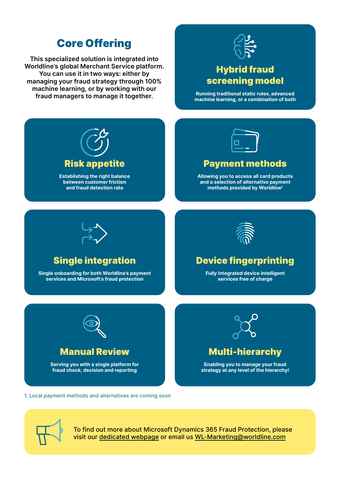# Core Offering

**This specialized solution is integrated into Worldline's global Merchant Service platform. You can use it in two ways: either by managing your fraud strategy through 100% machine learning, or by working with our fraud managers to manage it together.**



## Hybrid fraud screening model

**Running traditional static rules, advanced machine learning, or a combination of both**





 To find out more about Microsoft Dynamics 365 Fraud Protection, please visit our [dedicated webpage](https://worldline.com/en/home/solutions/online-payments/large-global-businesses/reduce-fraud-and-chargebacks/hybrid-fraud-screening.html) or email us [WL-Marketing@worldline.com](mailto:wl-marketing%40worldline.com?subject=)